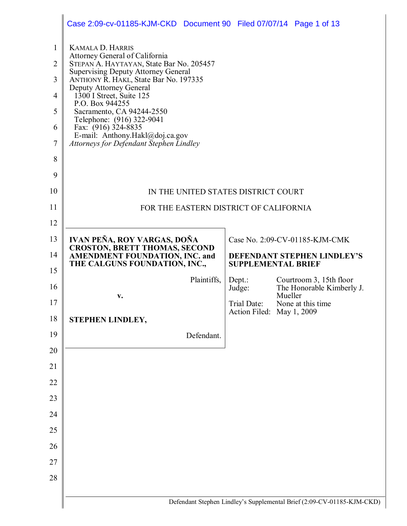|                | Case 2:09-cv-01185-KJM-CKD Document 90 Filed 07/07/14 Page 1 of 13                                                       |                           |         |                                |
|----------------|--------------------------------------------------------------------------------------------------------------------------|---------------------------|---------|--------------------------------|
| $\mathbf{1}$   | <b>KAMALA D. HARRIS</b>                                                                                                  |                           |         |                                |
| $\overline{2}$ | Attorney General of California<br>STEPAN A. HAYTAYAN, State Bar No. 205457<br><b>Supervising Deputy Attorney General</b> |                           |         |                                |
| 3              | ANTHONY R. HAKL, State Bar No. 197335<br>Deputy Attorney General                                                         |                           |         |                                |
| 4              | $1300$ I Street, Suite 125<br>P.O. Box 944255                                                                            |                           |         |                                |
| 5              | Sacramento, CA 94244-2550<br>Telephone: (916) 322-9041                                                                   |                           |         |                                |
| 6              | Fax: (916) 324-8835<br>E-mail: Anthony.Hakl@doj.ca.gov                                                                   |                           |         |                                |
| $\overline{7}$ | Attorneys for Defendant Stephen Lindley                                                                                  |                           |         |                                |
| 8              |                                                                                                                          |                           |         |                                |
| 9              |                                                                                                                          |                           |         |                                |
| 10             | IN THE UNITED STATES DISTRICT COURT                                                                                      |                           |         |                                |
| 11             | FOR THE EASTERN DISTRICT OF CALIFORNIA                                                                                   |                           |         |                                |
| 12             |                                                                                                                          |                           |         |                                |
| 13             | IVAN PEÑA, ROY VARGAS, DOÑA<br><b>CROSTON, BRETT THOMAS, SECOND</b>                                                      |                           |         | Case No. 2:09-CV-01185-KJM-CMK |
| 14             | <b>AMENDMENT FOUNDATION, INC. and</b><br>THE CALGUNS FOUNDATION, INC.,                                                   | <b>SUPPLEMENTAL BRIEF</b> |         | DEFENDANT STEPHEN LINDLEY'S    |
| 15             | Plaintiffs,                                                                                                              | Depth:                    |         | Courtroom 3, 15th floor        |
|                |                                                                                                                          | Judge:                    |         | The Honorable Kimberly J.      |
| 16             | V.                                                                                                                       |                           | Mueller |                                |
| 17             |                                                                                                                          | Trial Date:               |         | None at this time              |
| $18\,$         | STEPHEN LINDLEY,                                                                                                         | Action Filed: May 1, 2009 |         |                                |
| 19             | Defendant.                                                                                                               |                           |         |                                |
| 20             |                                                                                                                          |                           |         |                                |
| 21             |                                                                                                                          |                           |         |                                |
| 22             |                                                                                                                          |                           |         |                                |
| 23             |                                                                                                                          |                           |         |                                |
| 24             |                                                                                                                          |                           |         |                                |
| 25             |                                                                                                                          |                           |         |                                |
| 26             |                                                                                                                          |                           |         |                                |
| 27             |                                                                                                                          |                           |         |                                |
| 28             |                                                                                                                          |                           |         |                                |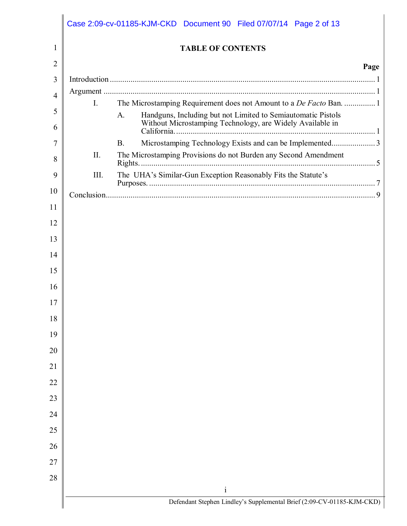|    |             | Case 2:09-cv-01185-KJM-CKD Document 90 Filed 07/07/14 Page 2 of 13                                                              |      |
|----|-------------|---------------------------------------------------------------------------------------------------------------------------------|------|
| 1  |             | <b>TABLE OF CONTENTS</b>                                                                                                        |      |
| 2  |             |                                                                                                                                 | Page |
| 3  |             |                                                                                                                                 |      |
| 4  |             |                                                                                                                                 |      |
| 5  | $I_{\cdot}$ | The Microstamping Requirement does not Amount to a De Facto Ban.  1                                                             |      |
| 6  |             | Handguns, Including but not Limited to Semiautomatic Pistols<br>Without Microstamping Technology, are Widely Available in<br>A. |      |
| 7  |             | Microstamping Technology Exists and can be Implemented3<br><b>B.</b>                                                            |      |
| 8  | II.         | The Microstamping Provisions do not Burden any Second Amendment                                                                 |      |
| 9  | III.        | The UHA's Similar-Gun Exception Reasonably Fits the Statute's                                                                   |      |
| 10 |             |                                                                                                                                 |      |
| 11 |             |                                                                                                                                 |      |
| 12 |             |                                                                                                                                 |      |
| 13 |             |                                                                                                                                 |      |
| 14 |             |                                                                                                                                 |      |
| 15 |             |                                                                                                                                 |      |
| 16 |             |                                                                                                                                 |      |
| 17 |             |                                                                                                                                 |      |
| 18 |             |                                                                                                                                 |      |
| 19 |             |                                                                                                                                 |      |
| 20 |             |                                                                                                                                 |      |
| 21 |             |                                                                                                                                 |      |
| 22 |             |                                                                                                                                 |      |
| 23 |             |                                                                                                                                 |      |
| 24 |             |                                                                                                                                 |      |
| 25 |             |                                                                                                                                 |      |
| 26 |             |                                                                                                                                 |      |
| 27 |             |                                                                                                                                 |      |
| 28 |             |                                                                                                                                 |      |
|    |             | $\rm i$                                                                                                                         |      |
|    |             | Defendant Stephen Lindley's Supplemental Brief (2:09-CV-01185-KJM-CKD)                                                          |      |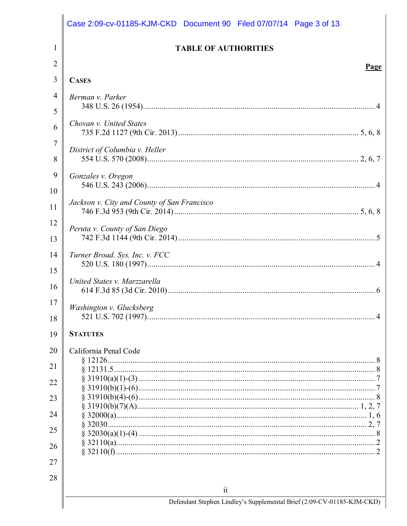|          | Case 2:09-cv-01185-KJM-CKD Document 90 Filed 07/07/14 Page 3 of 13     |
|----------|------------------------------------------------------------------------|
| 1        | <b>TABLE OF AUTHORITIES</b>                                            |
| 2        | <u>Page</u>                                                            |
| 3        | <b>CASES</b>                                                           |
| 4        | Berman v. Parker                                                       |
| 5        |                                                                        |
| 6        | Chovan v. United States                                                |
| 7<br>8   | District of Columbia v. Heller                                         |
| 9<br>10  | Gonzales v. Oregon                                                     |
| 11       | Jackson v. City and County of San Francisco                            |
| 12<br>13 | Peruta v. County of San Diego                                          |
| 14       | Turner Broad. Sys. Inc. v. FCC                                         |
| 15<br>16 | United States v. Marzzarella                                           |
| 17<br>18 | Washington v. Glucksberg                                               |
| 19       | <b>STATUTES</b>                                                        |
| 20<br>21 | California Penal Code                                                  |
| 22       |                                                                        |
| 23       |                                                                        |
| 24       |                                                                        |
| 25       |                                                                        |
| 26       |                                                                        |
| 27       |                                                                        |
| 28       | $\overline{\mathbf{u}}$                                                |
|          | Defendant Stephen Lindley's Supplemental Brief (2:09-CV-01185-KJM-CKD) |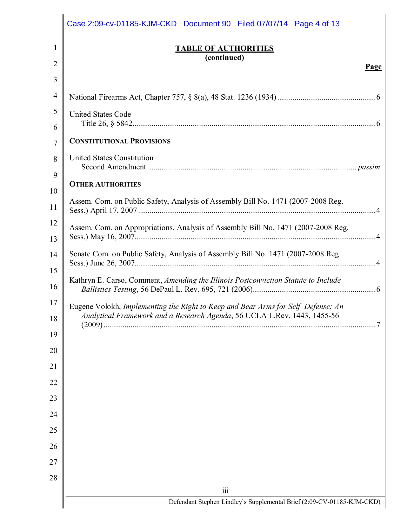|    | Case 2:09-cv-01185-KJM-CKD Document 90 Filed 07/07/14 Page 4 of 13                 |
|----|------------------------------------------------------------------------------------|
| 1  | <b>TABLE OF AUTHORITIES</b>                                                        |
| 2  | (continued)<br><b>Page</b>                                                         |
| 3  |                                                                                    |
| 4  |                                                                                    |
| 5  | <b>United States Code</b>                                                          |
| 6  |                                                                                    |
| 7  | <b>CONSTITUTIONAL PROVISIONS</b>                                                   |
| 8  | <b>United States Constitution</b>                                                  |
| 9  |                                                                                    |
| 10 | <b>OTHER AUTHORITIES</b>                                                           |
| 11 | Assem. Com. on Public Safety, Analysis of Assembly Bill No. 1471 (2007-2008 Reg.   |
| 12 | Assem. Com. on Appropriations, Analysis of Assembly Bill No. 1471 (2007-2008 Reg.  |
| 13 |                                                                                    |
| 14 | Senate Com. on Public Safety, Analysis of Assembly Bill No. 1471 (2007-2008 Reg.   |
| 15 |                                                                                    |
| 16 | Kathryn E. Carso, Comment, Amending the Illinois Postconviction Statute to Include |
| 17 | Eugene Volokh, Implementing the Right to Keep and Bear Arms for Self-Defense: An   |
| 18 | Analytical Framework and a Research Agenda, 56 UCLA L.Rev. 1443, 1455-56           |
| 19 |                                                                                    |
| 20 |                                                                                    |
| 21 |                                                                                    |
| 22 |                                                                                    |
| 23 |                                                                                    |
| 24 |                                                                                    |
| 25 |                                                                                    |
| 26 |                                                                                    |
| 27 |                                                                                    |
| 28 |                                                                                    |
|    | iii                                                                                |
|    | Defendant Stephen Lindley's Supplemental Brief (2:09-CV-01185-KJM-CKD)             |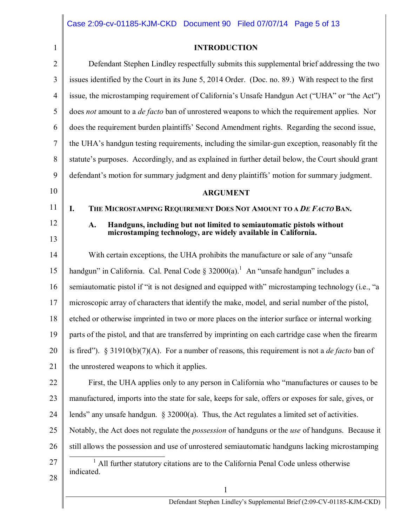1

## **INTRODUCTION**

| $\overline{2}$ | Defendant Stephen Lindley respectfully submits this supplemental brief addressing the two                      |  |  |
|----------------|----------------------------------------------------------------------------------------------------------------|--|--|
| 3              | issues identified by the Court in its June 5, 2014 Order. (Doc. no. 89.) With respect to the first             |  |  |
| 4              | issue, the microstamping requirement of California's Unsafe Handgun Act ("UHA" or "the Act")                   |  |  |
| 5              | does not amount to a <i>de facto</i> ban of unrostered weapons to which the requirement applies. Nor           |  |  |
| 6              | does the requirement burden plaintiffs' Second Amendment rights. Regarding the second issue,                   |  |  |
| 7              | the UHA's handgun testing requirements, including the similar-gun exception, reasonably fit the                |  |  |
| 8              | statute's purposes. Accordingly, and as explained in further detail below, the Court should grant              |  |  |
| 9              | defendant's motion for summary judgment and deny plaintiffs' motion for summary judgment.                      |  |  |
| 10             | <b>ARGUMENT</b>                                                                                                |  |  |
| 11             | THE MICROSTAMPING REQUIREMENT DOES NOT AMOUNT TO A DE FACTO BAN.<br>I.                                         |  |  |
| 12             | Handguns, including but not limited to semiautomatic pistols without<br>A.                                     |  |  |
| 13             | microstamping technology, are widely available in California.                                                  |  |  |
| 14             | With certain exceptions, the UHA prohibits the manufacture or sale of any "unsafe"                             |  |  |
| 15             | handgun" in California. Cal. Penal Code § $32000(a)$ . <sup>1</sup> An "unsafe handgun" includes a             |  |  |
| 16             | semiautomatic pistol if "it is not designed and equipped with" microstamping technology (i.e., "a              |  |  |
| 17             | microscopic array of characters that identify the make, model, and serial number of the pistol,                |  |  |
| 18             | etched or otherwise imprinted in two or more places on the interior surface or internal working                |  |  |
| 19             | parts of the pistol, and that are transferred by imprinting on each cartridge case when the firearm            |  |  |
| 20             | is fired"). § 31910(b)(7)(A). For a number of reasons, this requirement is not a <i>de facto</i> ban of        |  |  |
| 21             | the unrostered weapons to which it applies.                                                                    |  |  |
| 22             | First, the UHA applies only to any person in California who "manufactures or causes to be                      |  |  |
| 23             | manufactured, imports into the state for sale, keeps for sale, offers or exposes for sale, gives, or           |  |  |
| 24             | lends" any unsafe handgun. $\S$ 32000(a). Thus, the Act regulates a limited set of activities.                 |  |  |
| 25             | Notably, the Act does not regulate the <i>possession</i> of handguns or the <i>use</i> of handguns. Because it |  |  |
| 26             | still allows the possession and use of unrostered semiautomatic handguns lacking microstamping                 |  |  |
| 27             | All further statutory citations are to the California Penal Code unless otherwise                              |  |  |
| 28             | indicated.                                                                                                     |  |  |
|                | $\mathbf{1}$                                                                                                   |  |  |
|                | Defendant Stephen Lindley's Supplemental Brief (2:09-CV-01185-KJM-CKD)                                         |  |  |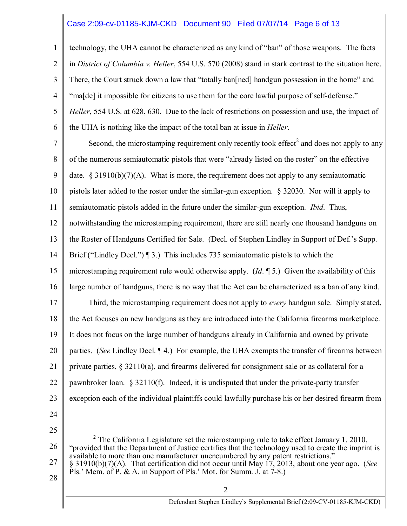#### Case 2:09-cv-01185-KJM-CKD Document 90 Filed 07/07/14 Page 6 of 13

1 2 3 4 5 6 technology, the UHA cannot be characterized as any kind of "ban" of those weapons. The facts in *District of Columbia v. Heller*, 554 U.S. 570 (2008) stand in stark contrast to the situation here. There, the Court struck down a law that "totally ban[ned] handgun possession in the home" and "ma[de] it impossible for citizens to use them for the core lawful purpose of self-defense." *Heller*, 554 U.S. at 628, 630. Due to the lack of restrictions on possession and use, the impact of the UHA is nothing like the impact of the total ban at issue in *Heller*.

7 8 9 10 11 12 13 14 15 16 17 18 19 20 21 22 23 Second, the microstamping requirement only recently took effect<sup>2</sup> and does not apply to any of the numerous semiautomatic pistols that were "already listed on the roster" on the effective date.  $\S 31910(b)(7)(A)$ . What is more, the requirement does not apply to any semiautomatic pistols later added to the roster under the similar-gun exception. § 32030. Nor will it apply to semiautomatic pistols added in the future under the similar-gun exception. *Ibid*. Thus, notwithstanding the microstamping requirement, there are still nearly one thousand handguns on the Roster of Handguns Certified for Sale. (Decl. of Stephen Lindley in Support of Def.'s Supp. Brief ("Lindley Decl.") ¶ 3.) This includes 735 semiautomatic pistols to which the microstamping requirement rule would otherwise apply. (*Id*. ¶ 5.) Given the availability of this large number of handguns, there is no way that the Act can be characterized as a ban of any kind. Third, the microstamping requirement does not apply to *every* handgun sale. Simply stated, the Act focuses on new handguns as they are introduced into the California firearms marketplace. It does not focus on the large number of handguns already in California and owned by private parties. (*See* Lindley Decl. ¶ 4.) For example, the UHA exempts the transfer of firearms between private parties,  $\S 32110(a)$ , and firearms delivered for consignment sale or as collateral for a pawnbroker loan. § 32110(f). Indeed, it is undisputed that under the private-party transfer exception each of the individual plaintiffs could lawfully purchase his or her desired firearm from

24

25

26 27 <sup>2</sup> The California Legislature set the microstamping rule to take effect January 1, 2010, "provided that the Department of Justice certifies that the technology used to create the imprint is available to more than one manufacturer unencumbered by any patent restrictions." § 31910(b)(7)(A). That certification did not occur until May 17, 2013, about one year ago. (*See* Pls.' Mem. of P. & A. in Support of Pls.' Mot. for Summ. J. at 7-8.)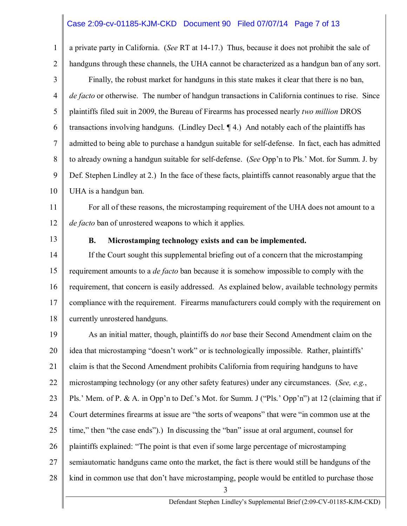#### Case 2:09-cv-01185-KJM-CKD Document 90 Filed 07/07/14 Page 7 of 13

a private party in California. (*See* RT at 14-17.) Thus, because it does not prohibit the sale of handguns through these channels, the UHA cannot be characterized as a handgun ban of any sort.

3 4 5 6 7 8 9 10 Finally, the robust market for handguns in this state makes it clear that there is no ban, *de facto* or otherwise. The number of handgun transactions in California continues to rise. Since plaintiffs filed suit in 2009, the Bureau of Firearms has processed nearly *two million* DROS transactions involving handguns. (Lindley Decl. ¶ 4.) And notably each of the plaintiffs has admitted to being able to purchase a handgun suitable for self-defense. In fact, each has admitted to already owning a handgun suitable for self-defense. (*See* Opp'n to Pls.' Mot. for Summ. J. by Def. Stephen Lindley at 2.) In the face of these facts, plaintiffs cannot reasonably argue that the UHA is a handgun ban.

11 12 For all of these reasons, the microstamping requirement of the UHA does not amount to a *de facto* ban of unrostered weapons to which it applies.

13

1

2

#### **B. Microstamping technology exists and can be implemented.**

14 15 16 17 18 If the Court sought this supplemental briefing out of a concern that the microstamping requirement amounts to a *de facto* ban because it is somehow impossible to comply with the requirement, that concern is easily addressed. As explained below, available technology permits compliance with the requirement. Firearms manufacturers could comply with the requirement on currently unrostered handguns.

19 20 21 22 23 24 25 26 27 28 As an initial matter, though, plaintiffs do *not* base their Second Amendment claim on the idea that microstamping "doesn't work" or is technologically impossible. Rather, plaintiffs' claim is that the Second Amendment prohibits California from requiring handguns to have microstamping technology (or any other safety features) under any circumstances. (*See, e.g.*, Pls.' Mem. of P. & A. in Opp'n to Def.'s Mot. for Summ. J ("Pls.' Opp'n") at 12 (claiming that if Court determines firearms at issue are "the sorts of weapons" that were "in common use at the time," then "the case ends").) In discussing the "ban" issue at oral argument, counsel for plaintiffs explained: "The point is that even if some large percentage of microstamping semiautomatic handguns came onto the market, the fact is there would still be handguns of the kind in common use that don't have microstamping, people would be entitled to purchase those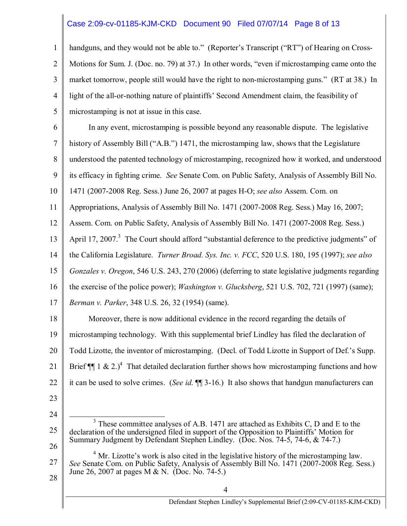#### Case 2:09-cv-01185-KJM-CKD Document 90 Filed 07/07/14 Page 8 of 13

3 4 5 handguns, and they would not be able to." (Reporter's Transcript ("RT") of Hearing on Cross-Motions for Sum. J. (Doc. no. 79) at 37.) In other words, "even if microstamping came onto the market tomorrow, people still would have the right to non-microstamping guns." (RT at 38.) In light of the all-or-nothing nature of plaintiffs' Second Amendment claim, the feasibility of microstamping is not at issue in this case.

6 7 8 9 10 11 12 13 14 15 16 17 18 19 In any event, microstamping is possible beyond any reasonable dispute. The legislative history of Assembly Bill ("A.B.") 1471, the microstamping law, shows that the Legislature understood the patented technology of microstamping, recognized how it worked, and understood its efficacy in fighting crime. *See* Senate Com. on Public Safety, Analysis of Assembly Bill No. 1471 (2007-2008 Reg. Sess.) June 26, 2007 at pages H-O; *see also* Assem. Com. on Appropriations, Analysis of Assembly Bill No. 1471 (2007-2008 Reg. Sess.) May 16, 2007; Assem. Com. on Public Safety, Analysis of Assembly Bill No. 1471 (2007-2008 Reg. Sess.) April 17, 2007.<sup>3</sup> The Court should afford "substantial deference to the predictive judgments" of the California Legislature. *Turner Broad. Sys. Inc. v. FCC*, 520 U.S. 180, 195 (1997); *see also Gonzales v. Oregon*, 546 U.S. 243, 270 (2006) (deferring to state legislative judgments regarding the exercise of the police power); *Washington v. Glucksberg*, 521 U.S. 702, 721 (1997) (same); *Berman v. Parker*, 348 U.S. 26, 32 (1954) (same). Moreover, there is now additional evidence in the record regarding the details of microstamping technology. With this supplemental brief Lindley has filed the declaration of

20 Todd Lizotte, the inventor of microstamping. (Decl. of Todd Lizotte in Support of Def.'s Supp.

21 Brief  $\P$  1 & 2.)<sup>4</sup> That detailed declaration further shows how microstamping functions and how

22 it can be used to solve crimes. (*See id*. ¶¶ 3-16.) It also shows that handgun manufacturers can

23

1

2

24

27  $4$  Mr. Lizotte's work is also cited in the legislative history of the microstamping law. *See* Senate Com. on Public Safety, Analysis of Assembly Bill No. 1471 (2007-2008 Reg. Sess.) June 26, 2007 at pages M & N. (Doc. No. 74-5.)

<sup>25</sup> 26  $3$  These committee analyses of A.B. 1471 are attached as Exhibits C, D and E to the declaration of the undersigned filed in support of the Opposition to Plaintiffs' Motion for Summary Judgment by Defendant Stephen Lindley. (Doc. Nos. 74-5, 74-6, & 74-7.)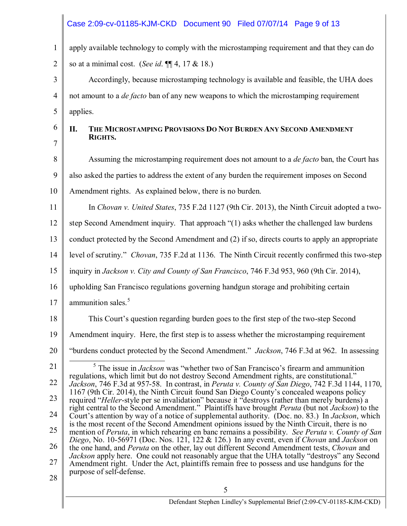# Case 2:09-cv-01185-KJM-CKD Document 90 Filed 07/07/14 Page 9 of 13

| $\mathbf{1}$   | apply available technology to comply with the microstamping requirement and that they can do                                                                                                                                                                                                                   |  |
|----------------|----------------------------------------------------------------------------------------------------------------------------------------------------------------------------------------------------------------------------------------------------------------------------------------------------------------|--|
| $\overline{2}$ | so at a minimal cost. (See id. $\P$ $[4, 17 & 18.$ )                                                                                                                                                                                                                                                           |  |
| 3              | Accordingly, because microstamping technology is available and feasible, the UHA does                                                                                                                                                                                                                          |  |
| 4              | not amount to a <i>de facto</i> ban of any new weapons to which the microstamping requirement                                                                                                                                                                                                                  |  |
| 5              | applies.                                                                                                                                                                                                                                                                                                       |  |
| 6              | П.<br>THE MICROSTAMPING PROVISIONS DO NOT BURDEN ANY SECOND AMENDMENT<br>RIGHTS.                                                                                                                                                                                                                               |  |
| 7<br>8         | Assuming the microstamping requirement does not amount to a <i>de facto</i> ban, the Court has                                                                                                                                                                                                                 |  |
| 9              | also asked the parties to address the extent of any burden the requirement imposes on Second                                                                                                                                                                                                                   |  |
| 10             | Amendment rights. As explained below, there is no burden.                                                                                                                                                                                                                                                      |  |
| 11             | In Chovan v. United States, 735 F.2d 1127 (9th Cir. 2013), the Ninth Circuit adopted a two-                                                                                                                                                                                                                    |  |
| 12             | step Second Amendment inquiry. That approach "(1) asks whether the challenged law burdens                                                                                                                                                                                                                      |  |
| 13             | conduct protected by the Second Amendment and (2) if so, directs courts to apply an appropriate                                                                                                                                                                                                                |  |
| 14             | level of scrutiny." Chovan, 735 F.2d at 1136. The Ninth Circuit recently confirmed this two-step                                                                                                                                                                                                               |  |
| 15             | inquiry in Jackson v. City and County of San Francisco, 746 F.3d 953, 960 (9th Cir. 2014),                                                                                                                                                                                                                     |  |
| 16             | upholding San Francisco regulations governing handgun storage and prohibiting certain                                                                                                                                                                                                                          |  |
| 17             | ammunition sales. <sup>5</sup>                                                                                                                                                                                                                                                                                 |  |
| 18             | This Court's question regarding burden goes to the first step of the two-step Second                                                                                                                                                                                                                           |  |
| 19             | Amendment inquiry. Here, the first step is to assess whether the microstamping requirement                                                                                                                                                                                                                     |  |
| 20             | "burdens conduct protected by the Second Amendment." <i>Jackson</i> , 746 F.3d at 962. In assessing                                                                                                                                                                                                            |  |
| 21             | $\frac{5}{5}$ The issue in <i>Jackson</i> was "whether two of San Francisco's firearm and ammunition                                                                                                                                                                                                           |  |
| 22             | regulations, which limit but do not destroy Second Amendment rights, are constitutional."<br>Jackson, 746 F.3d at 957-58. In contrast, in Peruta v. County of San Diego, 742 F.3d 1144, 1170,                                                                                                                  |  |
| 23             | 1167 (9th Cir. 2014), the Ninth Circuit found San Diego County's concealed weapons policy<br>required "Heller-style per se invalidation" because it "destroys (rather than merely burdens) a<br>right central to the Second Amendment." Plaintiffs have brought <i>Peruta</i> (but not <i>Jackson</i> ) to the |  |
| 24             | Court's attention by way of a notice of supplemental authority. (Doc. no. 83.) In <i>Jackson</i> , which<br>is the most recent of the Second Amendment opinions issued by the Ninth Circuit, there is no                                                                                                       |  |
| 25             | mention of Peruta, in which rehearing en banc remains a possibility. See Peruta v. County of San<br>Diego, No. 10-56971 (Doc. Nos. 121, 122 & 126.) In any event, even if Chovan and Jackson on                                                                                                                |  |
| 26             | the one hand, and Peruta on the other, lay out different Second Amendment tests, Chovan and                                                                                                                                                                                                                    |  |
| 27             | Jackson apply here. One could not reasonably argue that the UHA totally "destroys" any Second<br>Amendment right. Under the Act, plaintiffs remain free to possess and use handguns for the<br>purpose of self-defense.                                                                                        |  |
| 28             |                                                                                                                                                                                                                                                                                                                |  |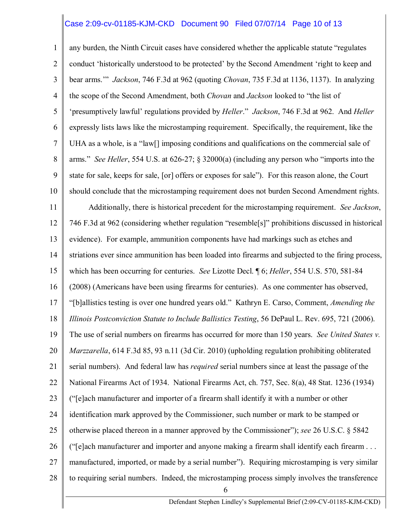#### Case 2:09-cv-01185-KJM-CKD Document 90 Filed 07/07/14 Page 10 of 13

1 2 3 4 5 6 7 8 9 10 11 12 13 14 15 16 17 18 19 20 21 22 23 24 25 26 27 28 6 any burden, the Ninth Circuit cases have considered whether the applicable statute "regulates conduct 'historically understood to be protected' by the Second Amendment 'right to keep and bear arms.'" *Jackson*, 746 F.3d at 962 (quoting *Chovan*, 735 F.3d at 1136, 1137). In analyzing the scope of the Second Amendment, both *Chovan* and *Jackson* looked to "the list of 'presumptively lawful' regulations provided by *Heller*." *Jackson*, 746 F.3d at 962. And *Heller* expressly lists laws like the microstamping requirement. Specifically, the requirement, like the UHA as a whole, is a "law[] imposing conditions and qualifications on the commercial sale of arms." *See Heller*, 554 U.S. at 626-27; § 32000(a) (including any person who "imports into the state for sale, keeps for sale, [or] offers or exposes for sale"). For this reason alone, the Court should conclude that the microstamping requirement does not burden Second Amendment rights. Additionally, there is historical precedent for the microstamping requirement. *See Jackson*, 746 F.3d at 962 (considering whether regulation "resemble[s]" prohibitions discussed in historical evidence). For example, ammunition components have had markings such as etches and striations ever since ammunition has been loaded into firearms and subjected to the firing process, which has been occurring for centuries. *See* Lizotte Decl. ¶ 6; *Heller*, 554 U.S. 570, 581-84 (2008) (Americans have been using firearms for centuries). As one commenter has observed, "[b]allistics testing is over one hundred years old." Kathryn E. Carso, Comment, *Amending the Illinois Postconviction Statute to Include Ballistics Testing*, 56 DePaul L. Rev. 695, 721 (2006). The use of serial numbers on firearms has occurred for more than 150 years. *See United States v. Marzzarella*, 614 F.3d 85, 93 n.11 (3d Cir. 2010) (upholding regulation prohibiting obliterated serial numbers). And federal law has *required* serial numbers since at least the passage of the National Firearms Act of 1934. National Firearms Act, ch. 757, Sec. 8(a), 48 Stat. 1236 (1934) ("[e]ach manufacturer and importer of a firearm shall identify it with a number or other identification mark approved by the Commissioner, such number or mark to be stamped or otherwise placed thereon in a manner approved by the Commissioner"); *see* 26 U.S.C. § 5842 ("[e]ach manufacturer and importer and anyone making a firearm shall identify each firearm . . . manufactured, imported, or made by a serial number"). Requiring microstamping is very similar to requiring serial numbers. Indeed, the microstamping process simply involves the transference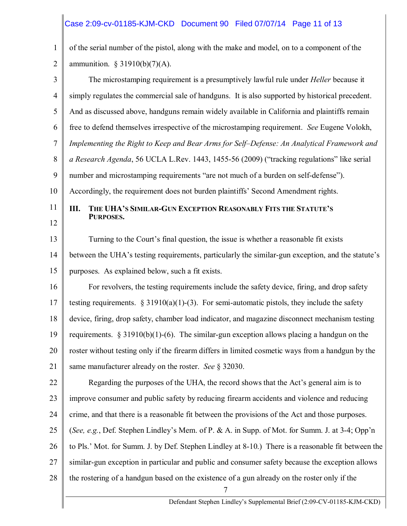### Case 2:09-cv-01185-KJM-CKD Document 90 Filed 07/07/14 Page 11 of 13

1 2 of the serial number of the pistol, along with the make and model, on to a component of the ammunition.  $§ 31910(b)(7)(A)$ .

3 4 5 6 7 8 9 10 11 12 13 14 15 16 17 18 19 20 21 22 23 24 25 26 27 28 7 The microstamping requirement is a presumptively lawful rule under *Heller* because it simply regulates the commercial sale of handguns. It is also supported by historical precedent. And as discussed above, handguns remain widely available in California and plaintiffs remain free to defend themselves irrespective of the microstamping requirement. *See* Eugene Volokh, *Implementing the Right to Keep and Bear Arms for Self–Defense: An Analytical Framework and a Research Agenda*, 56 UCLA L.Rev. 1443, 1455-56 (2009) ("tracking regulations" like serial number and microstamping requirements "are not much of a burden on self-defense"). Accordingly, the requirement does not burden plaintiffs' Second Amendment rights. **III. THE UHA'S SIMILAR-GUN EXCEPTION REASONABLY FITS THE STATUTE'S PURPOSES.** Turning to the Court's final question, the issue is whether a reasonable fit exists between the UHA's testing requirements, particularly the similar-gun exception, and the statute's purposes. As explained below, such a fit exists. For revolvers, the testing requirements include the safety device, firing, and drop safety testing requirements.  $\S 31910(a)(1)-(3)$ . For semi-automatic pistols, they include the safety device, firing, drop safety, chamber load indicator, and magazine disconnect mechanism testing requirements.  $\S 31910(b)(1)-(6)$ . The similar-gun exception allows placing a handgun on the roster without testing only if the firearm differs in limited cosmetic ways from a handgun by the same manufacturer already on the roster. *See* § 32030. Regarding the purposes of the UHA, the record shows that the Act's general aim is to improve consumer and public safety by reducing firearm accidents and violence and reducing crime, and that there is a reasonable fit between the provisions of the Act and those purposes. (*See, e.g.*, Def. Stephen Lindley's Mem. of P. & A. in Supp. of Mot. for Summ. J. at 3-4; Opp'n to Pls.' Mot. for Summ. J. by Def. Stephen Lindley at 8-10.) There is a reasonable fit between the similar-gun exception in particular and public and consumer safety because the exception allows the rostering of a handgun based on the existence of a gun already on the roster only if the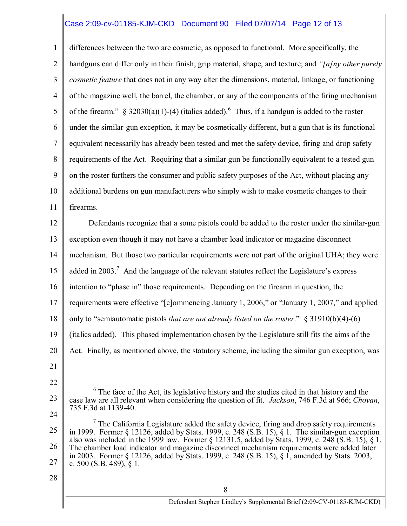#### Case 2:09-cv-01185-KJM-CKD Document 90 Filed 07/07/14 Page 12 of 13

1 2 3 4 5 6 7 8 9 10 11 differences between the two are cosmetic, as opposed to functional. More specifically, the handguns can differ only in their finish; grip material, shape, and texture; and *"[a]ny other purely cosmetic feature* that does not in any way alter the dimensions, material, linkage, or functioning of the magazine well, the barrel, the chamber, or any of the components of the firing mechanism of the firearm." § 32030(a)(1)-(4) (italics added).<sup>6</sup> Thus, if a handgun is added to the roster under the similar-gun exception, it may be cosmetically different, but a gun that is its functional equivalent necessarily has already been tested and met the safety device, firing and drop safety requirements of the Act. Requiring that a similar gun be functionally equivalent to a tested gun on the roster furthers the consumer and public safety purposes of the Act, without placing any additional burdens on gun manufacturers who simply wish to make cosmetic changes to their firearms.

12 13 14 15 16 17 18 19 20 21 Defendants recognize that a some pistols could be added to the roster under the similar-gun exception even though it may not have a chamber load indicator or magazine disconnect mechanism. But those two particular requirements were not part of the original UHA; they were added in 2003.<sup>7</sup> And the language of the relevant statutes reflect the Legislature's express intention to "phase in" those requirements. Depending on the firearm in question, the requirements were effective "[c]ommencing January 1, 2006," or "January 1, 2007," and applied only to "semiautomatic pistols *that are not already listed on the roster*." § 31910(b)(4)-(6) (italics added). This phased implementation chosen by the Legislature still fits the aims of the Act. Finally, as mentioned above, the statutory scheme, including the similar gun exception, was

23

24

<sup>22</sup>

 $6$  The face of the Act, its legislative history and the studies cited in that history and the case law are all relevant when considering the question of fit. *Jackson*, 746 F.3d at 966; *Chovan*, 735 F.3d at 1139-40.

<sup>25</sup> 26 27  $<sup>7</sup>$  The California Legislature added the safety device, firing and drop safety requirements</sup> in 1999. Former § 12126, added by Stats. 1999, c. 248 (S.B. 15), § 1. The similar-gun exception also was included in the 1999 law. Former § 12131.5, added by Stats. 1999, c. 248 (S.B. 15), § 1. The chamber load indicator and magazine disconnect mechanism requirements were added later in 2003. Former § 12126, added by Stats. 1999, c. 248 (S.B. 15), § 1, amended by Stats. 2003, c. 500 (S.B. 489),  $\S 1$ .